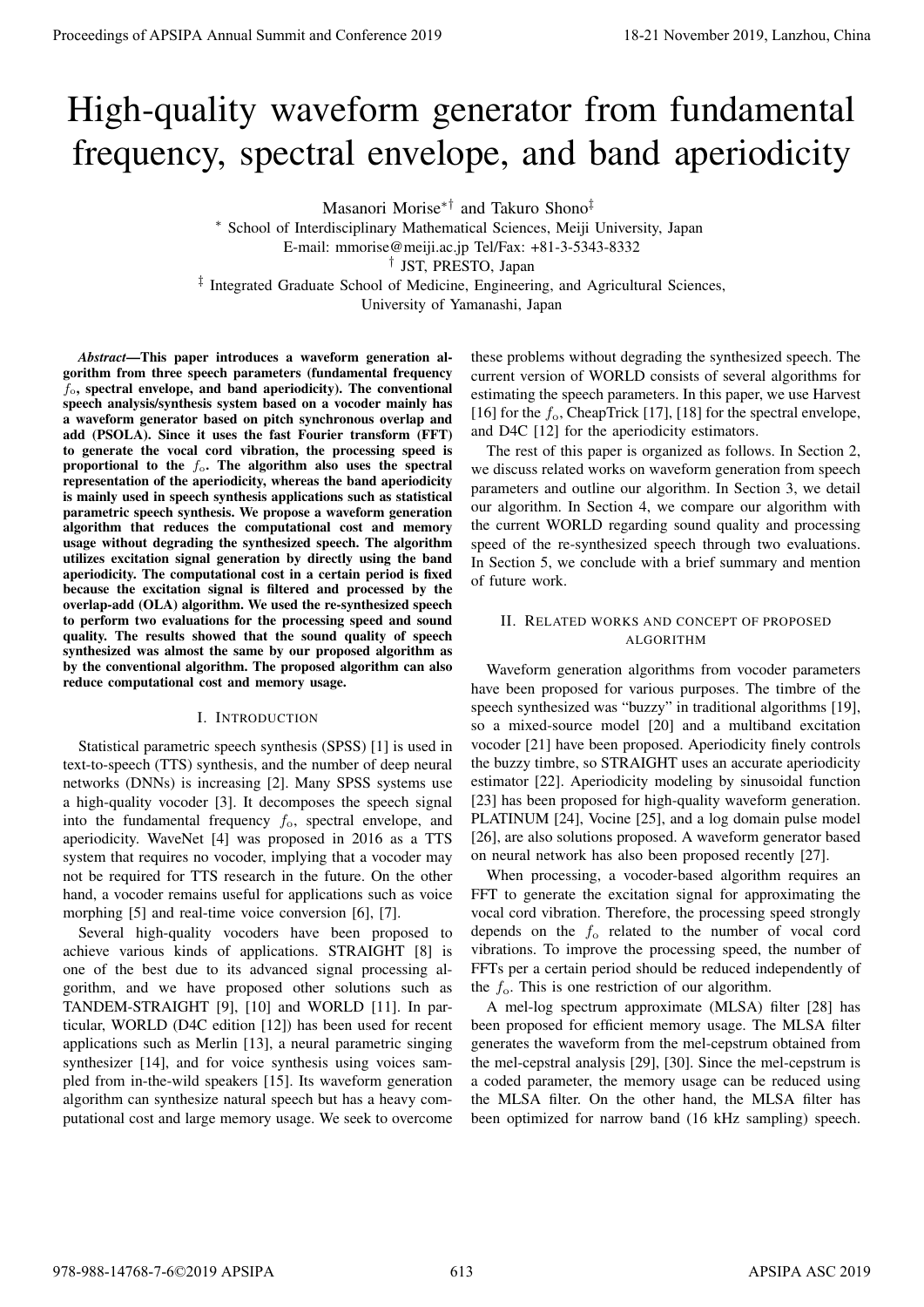# High-quality waveform generator from fundamental frequency, spectral envelope, and band aperiodicity

Masanori Morise*∗†* and Takuro Shono*‡*

*<sup>∗</sup>* School of Interdisciplinary Mathematical Sciences, Meiji University, Japan E-mail: mmorise@meiji.ac.jp Tel/Fax: +81-3-5343-8332 *†* JST, PRESTO, Japan *‡* Integrated Graduate School of Medicine, Engineering, and Agricultural Sciences, University of Yamanashi, Japan

*Abstract*—This paper introduces a waveform generation algorithm from three speech parameters (fundamental frequency *f*o, spectral envelope, and band aperiodicity). The conventional speech analysis/synthesis system based on a vocoder mainly has a waveform generator based on pitch synchronous overlap and add (PSOLA). Since it uses the fast Fourier transform (FFT) to generate the vocal cord vibration, the processing speed is proportional to the *f*o. The algorithm also uses the spectral representation of the aperiodicity, whereas the band aperiodicity is mainly used in speech synthesis applications such as statistical parametric speech synthesis. We propose a waveform generation algorithm that reduces the computational cost and memory usage without degrading the synthesized speech. The algorithm utilizes excitation signal generation by directly using the band aperiodicity. The computational cost in a certain period is fixed because the excitation signal is filtered and processed by the overlap-add (OLA) algorithm. We used the re-synthesized speech to perform two evaluations for the processing speed and sound quality. The results showed that the sound quality of speech synthesized was almost the same by our proposed algorithm as by the conventional algorithm. The proposed algorithm can also reduce computational cost and memory usage. **Proceedings of APSIPA Annual Summit and Conference 2019**<br> **Proceedings of APSIPA Annual Summit and Conference 2019**<br> **Proceeding and Conference 2019**<br> **Proceeding and Conference 2019**<br> **Proceeding and Conference 2019**<br>

### I. INTRODUCTION

Statistical parametric speech synthesis (SPSS) [1] is used in text-to-speech (TTS) synthesis, and the number of deep neural networks (DNNs) is increasing [2]. Many SPSS systems use a high-quality vocoder [3]. It decomposes the speech signal into the fundamental frequency *f*o, spectral envelope, and aperiodicity. WaveNet [4] was proposed in 2016 as a TTS system that requires no vocoder, implying that a vocoder may not be required for TTS research in the future. On the other hand, a vocoder remains useful for applications such as voice morphing [5] and real-time voice conversion [6], [7].

Several high-quality vocoders have been proposed to achieve various kinds of applications. STRAIGHT [8] is one of the best due to its advanced signal processing algorithm, and we have proposed other solutions such as TANDEM-STRAIGHT [9], [10] and WORLD [11]. In particular, WORLD (D4C edition [12]) has been used for recent applications such as Merlin [13], a neural parametric singing synthesizer [14], and for voice synthesis using voices sampled from in-the-wild speakers [15]. Its waveform generation algorithm can synthesize natural speech but has a heavy computational cost and large memory usage. We seek to overcome

these problems without degrading the synthesized speech. The current version of WORLD consists of several algorithms for estimating the speech parameters. In this paper, we use Harvest [16] for the  $f_0$ , CheapTrick [17], [18] for the spectral envelope, and D4C [12] for the aperiodicity estimators.

The rest of this paper is organized as follows. In Section 2, we discuss related works on waveform generation from speech parameters and outline our algorithm. In Section 3, we detail our algorithm. In Section 4, we compare our algorithm with the current WORLD regarding sound quality and processing speed of the re-synthesized speech through two evaluations. In Section 5, we conclude with a brief summary and mention of future work.

## II. RELATED WORKS AND CONCEPT OF PROPOSED ALGORITHM

Waveform generation algorithms from vocoder parameters have been proposed for various purposes. The timbre of the speech synthesized was "buzzy" in traditional algorithms [19], so a mixed-source model [20] and a multiband excitation vocoder [21] have been proposed. Aperiodicity finely controls the buzzy timbre, so STRAIGHT uses an accurate aperiodicity estimator [22]. Aperiodicity modeling by sinusoidal function [23] has been proposed for high-quality waveform generation. PLATINUM [24], Vocine [25], and a log domain pulse model [26], are also solutions proposed. A waveform generator based on neural network has also been proposed recently [27].

When processing, a vocoder-based algorithm requires an FFT to generate the excitation signal for approximating the vocal cord vibration. Therefore, the processing speed strongly depends on the *f*<sup>o</sup> related to the number of vocal cord vibrations. To improve the processing speed, the number of FFTs per a certain period should be reduced independently of the  $f_0$ . This is one restriction of our algorithm.

A mel-log spectrum approximate (MLSA) filter [28] has been proposed for efficient memory usage. The MLSA filter generates the waveform from the mel-cepstrum obtained from the mel-cepstral analysis [29], [30]. Since the mel-cepstrum is a coded parameter, the memory usage can be reduced using the MLSA filter. On the other hand, the MLSA filter has been optimized for narrow band (16 kHz sampling) speech.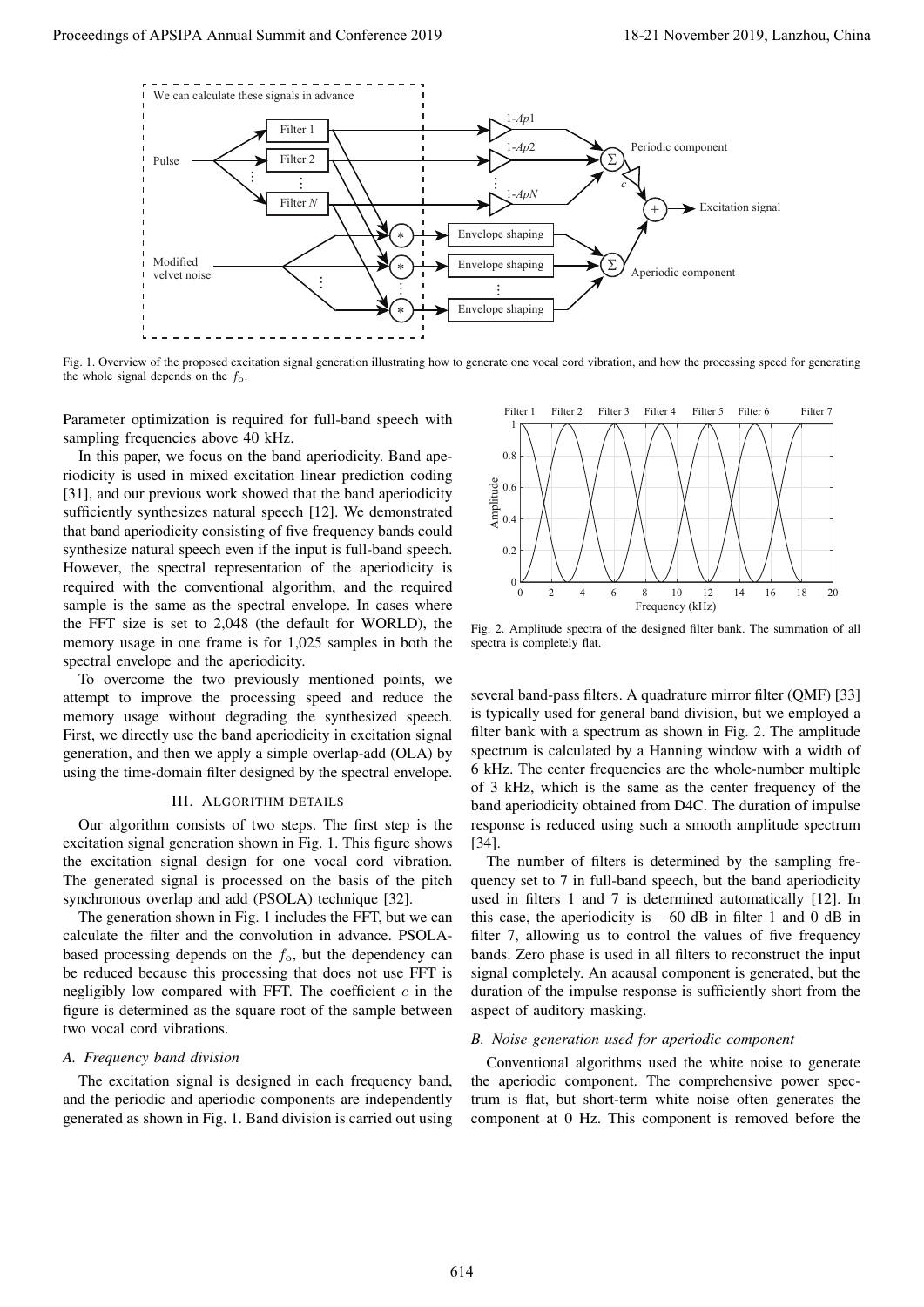

Fig. 1. Overview of the proposed excitation signal generation illustrating how to generate one vocal cord vibration, and how the processing speed for generating the whole signal depends on the *f*o.

Parameter optimization is required for full-band speech with sampling frequencies above 40 kHz.

In this paper, we focus on the band aperiodicity. Band aperiodicity is used in mixed excitation linear prediction coding [31], and our previous work showed that the band aperiodicity sufficiently synthesizes natural speech [12]. We demonstrated that band aperiodicity consisting of five frequency bands could synthesize natural speech even if the input is full-band speech. However, the spectral representation of the aperiodicity is required with the conventional algorithm, and the required sample is the same as the spectral envelope. In cases where the FFT size is set to 2,048 (the default for WORLD), the memory usage in one frame is for 1,025 samples in both the spectral envelope and the aperiodicity.

To overcome the two previously mentioned points, we attempt to improve the processing speed and reduce the memory usage without degrading the synthesized speech. First, we directly use the band aperiodicity in excitation signal generation, and then we apply a simple overlap-add (OLA) by using the time-domain filter designed by the spectral envelope.

### III. ALGORITHM DETAILS

Our algorithm consists of two steps. The first step is the excitation signal generation shown in Fig. 1. This figure shows the excitation signal design for one vocal cord vibration. The generated signal is processed on the basis of the pitch synchronous overlap and add (PSOLA) technique [32].

The generation shown in Fig. 1 includes the FFT, but we can calculate the filter and the convolution in advance. PSOLAbased processing depends on the  $f_0$ , but the dependency can be reduced because this processing that does not use FFT is negligibly low compared with FFT. The coefficient *c* in the figure is determined as the square root of the sample between two vocal cord vibrations.

## *A. Frequency band division*

The excitation signal is designed in each frequency band, and the periodic and aperiodic components are independently generated as shown in Fig. 1. Band division is carried out using



Fig. 2. Amplitude spectra of the designed filter bank. The summation of all spectra is completely flat.

several band-pass filters. A quadrature mirror filter (QMF) [33] is typically used for general band division, but we employed a filter bank with a spectrum as shown in Fig. 2. The amplitude spectrum is calculated by a Hanning window with a width of 6 kHz. The center frequencies are the whole-number multiple of 3 kHz, which is the same as the center frequency of the band aperiodicity obtained from D4C. The duration of impulse response is reduced using such a smooth amplitude spectrum [34].

The number of filters is determined by the sampling frequency set to 7 in full-band speech, but the band aperiodicity used in filters 1 and 7 is determined automatically [12]. In this case, the aperiodicity is *−*60 dB in filter 1 and 0 dB in filter 7, allowing us to control the values of five frequency bands. Zero phase is used in all filters to reconstruct the input signal completely. An acausal component is generated, but the duration of the impulse response is sufficiently short from the aspect of auditory masking.

## *B. Noise generation used for aperiodic component*

Conventional algorithms used the white noise to generate the aperiodic component. The comprehensive power spectrum is flat, but short-term white noise often generates the component at 0 Hz. This component is removed before the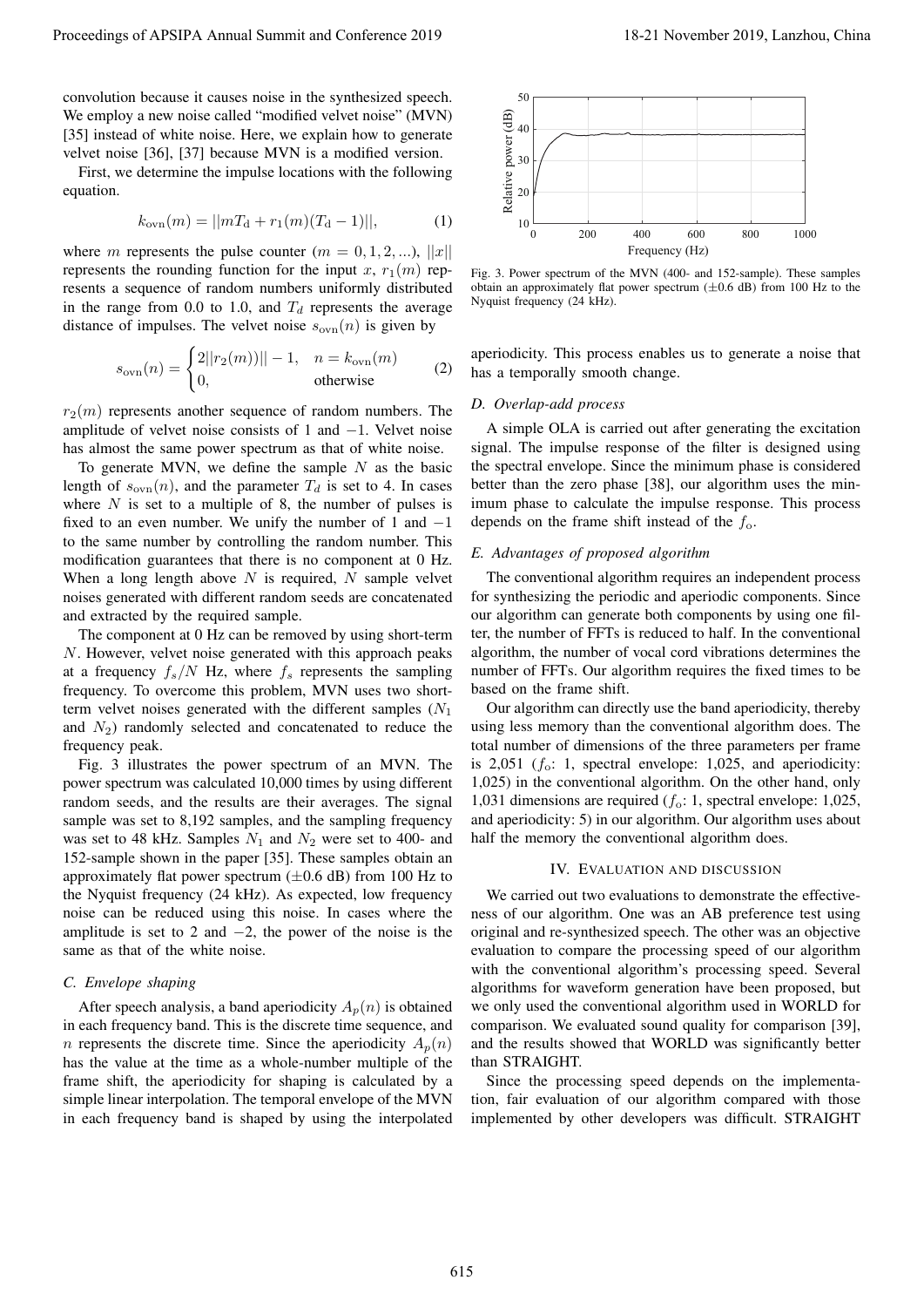convolution because it causes noise in the synthesized speech. We employ a new noise called "modified velvet noise" (MVN) [35] instead of white noise. Here, we explain how to generate velvet noise [36], [37] because MVN is a modified version.

First, we determine the impulse locations with the following equation.

$$
k_{\text{ovn}}(m) = ||mT_{\text{d}} + r_1(m)(T_{\text{d}} - 1)||, \tag{1}
$$

where *m* represents the pulse counter  $(m = 0, 1, 2, \ldots), ||x||$ represents the rounding function for the input *x*,  $r_1(m)$  represents a sequence of random numbers uniformly distributed in the range from 0.0 to 1.0, and  $T_d$  represents the average distance of impulses. The velvet noise  $s_{ovn}(n)$  is given by

$$
s_{\text{ovn}}(n) = \begin{cases} 2||r_2(m)|| - 1, & n = k_{\text{ovn}}(m) \\ 0, & \text{otherwise} \end{cases}
$$
 (2)

 $r_2(m)$  represents another sequence of random numbers. The amplitude of velvet noise consists of 1 and *−*1. Velvet noise has almost the same power spectrum as that of white noise.

To generate MVN, we define the sample *N* as the basic length of  $s_{\text{ovn}}(n)$ , and the parameter  $T_d$  is set to 4. In cases where *N* is set to a multiple of 8, the number of pulses is fixed to an even number. We unify the number of 1 and *−*1 to the same number by controlling the random number. This modification guarantees that there is no component at 0 Hz. When a long length above *N* is required, *N* sample velvet noises generated with different random seeds are concatenated and extracted by the required sample.

The component at 0 Hz can be removed by using short-term *N*. However, velvet noise generated with this approach peaks at a frequency  $f_s/N$  Hz, where  $f_s$  represents the sampling frequency. To overcome this problem, MVN uses two shortterm velvet noises generated with the different samples (*N*<sup>1</sup> and  $N<sub>2</sub>$ ) randomly selected and concatenated to reduce the frequency peak.

Fig. 3 illustrates the power spectrum of an MVN. The power spectrum was calculated 10,000 times by using different random seeds, and the results are their averages. The signal sample was set to 8,192 samples, and the sampling frequency was set to 48 kHz. Samples *N*<sup>1</sup> and *N*<sup>2</sup> were set to 400- and 152-sample shown in the paper [35]. These samples obtain an approximately flat power spectrum (*±*0.6 dB) from 100 Hz to the Nyquist frequency (24 kHz). As expected, low frequency noise can be reduced using this noise. In cases where the amplitude is set to 2 and *−*2, the power of the noise is the same as that of the white noise. Proceedings of APSIPA Annual Summit and Conference 2019<br>
Virtual Summit and Conference 2019,  $\frac{1}{2}$  Conference 2019 18-21 November 2019 18-21 November 2019 18-21 November 2019 18-21 November 2019 18-21 November 2019 18

#### *C. Envelope shaping*

After speech analysis, a band aperiodicity  $A_p(n)$  is obtained in each frequency band. This is the discrete time sequence, and *n* represents the discrete time. Since the aperiodicity  $A_p(n)$ has the value at the time as a whole-number multiple of the frame shift, the aperiodicity for shaping is calculated by a simple linear interpolation. The temporal envelope of the MVN in each frequency band is shaped by using the interpolated



Fig. 3. Power spectrum of the MVN (400- and 152-sample). These samples obtain an approximately flat power spectrum (*±*0.6 dB) from 100 Hz to the Nyquist frequency (24 kHz).

aperiodicity. This process enables us to generate a noise that has a temporally smooth change.

#### *D. Overlap-add process*

A simple OLA is carried out after generating the excitation signal. The impulse response of the filter is designed using the spectral envelope. Since the minimum phase is considered better than the zero phase [38], our algorithm uses the minimum phase to calculate the impulse response. This process depends on the frame shift instead of the *f*o.

#### *E. Advantages of proposed algorithm*

The conventional algorithm requires an independent process for synthesizing the periodic and aperiodic components. Since our algorithm can generate both components by using one filter, the number of FFTs is reduced to half. In the conventional algorithm, the number of vocal cord vibrations determines the number of FFTs. Our algorithm requires the fixed times to be based on the frame shift.

Our algorithm can directly use the band aperiodicity, thereby using less memory than the conventional algorithm does. The total number of dimensions of the three parameters per frame is 2,051 (*f*o: 1, spectral envelope: 1,025, and aperiodicity: 1,025) in the conventional algorithm. On the other hand, only 1,031 dimensions are required (*f*o: 1, spectral envelope: 1,025, and aperiodicity: 5) in our algorithm. Our algorithm uses about half the memory the conventional algorithm does.

#### IV. EVALUATION AND DISCUSSION

We carried out two evaluations to demonstrate the effectiveness of our algorithm. One was an AB preference test using original and re-synthesized speech. The other was an objective evaluation to compare the processing speed of our algorithm with the conventional algorithm's processing speed. Several algorithms for waveform generation have been proposed, but we only used the conventional algorithm used in WORLD for comparison. We evaluated sound quality for comparison [39], and the results showed that WORLD was significantly better than STRAIGHT.

Since the processing speed depends on the implementation, fair evaluation of our algorithm compared with those implemented by other developers was difficult. STRAIGHT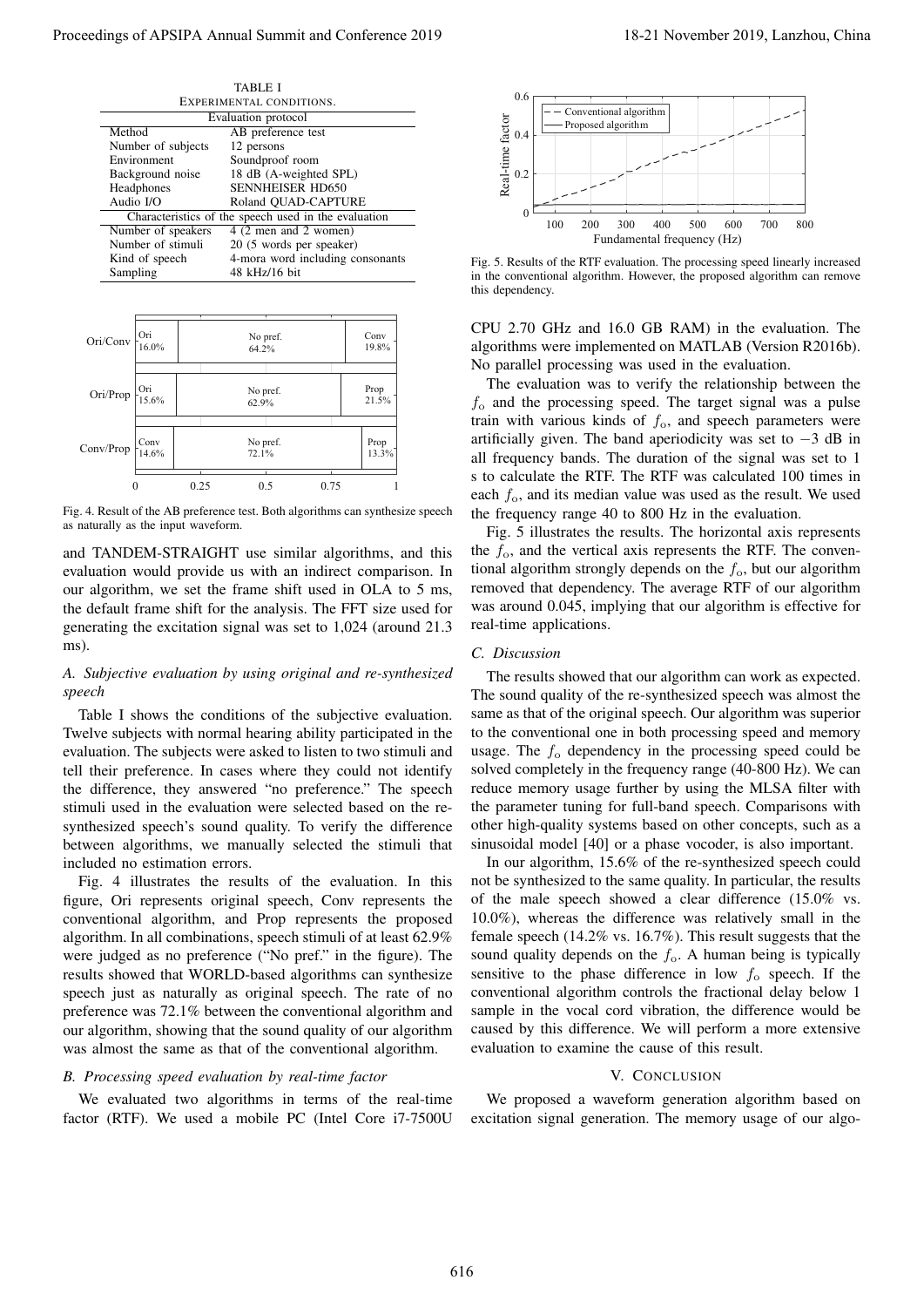| TABLE I                                              |                                  |
|------------------------------------------------------|----------------------------------|
| EXPERIMENTAL CONDITIONS.                             |                                  |
| Evaluation protocol                                  |                                  |
| Method                                               | AB preference test               |
| Number of subjects                                   | 12 persons                       |
| Environment                                          | Soundproof room                  |
| Background noise                                     | 18 dB (A-weighted SPL)           |
| Headphones                                           | <b>SENNHEISER HD650</b>          |
| Audio I/O                                            | Roland QUAD-CAPTURE              |
| Characteristics of the speech used in the evaluation |                                  |
| Number of speakers                                   | 4 (2 men and 2 women)            |
| Number of stimuli                                    | 20 (5 words per speaker)         |
| Kind of speech                                       | 4-mora word including consonants |
| Sampling                                             | 48 kHz/16 bit                    |



Fig. 4. Result of the AB preference test. Both algorithms can synthesize speech as naturally as the input waveform.

and TANDEM-STRAIGHT use similar algorithms, and this evaluation would provide us with an indirect comparison. In our algorithm, we set the frame shift used in OLA to 5 ms, the default frame shift for the analysis. The FFT size used for generating the excitation signal was set to 1,024 (around 21.3 ms).

## *A. Subjective evaluation by using original and re-synthesized speech*

Table I shows the conditions of the subjective evaluation. Twelve subjects with normal hearing ability participated in the evaluation. The subjects were asked to listen to two stimuli and tell their preference. In cases where they could not identify the difference, they answered "no preference." The speech stimuli used in the evaluation were selected based on the resynthesized speech's sound quality. To verify the difference between algorithms, we manually selected the stimuli that included no estimation errors.

Fig. 4 illustrates the results of the evaluation. In this figure, Ori represents original speech, Conv represents the conventional algorithm, and Prop represents the proposed algorithm. In all combinations, speech stimuli of at least 62.9% were judged as no preference ("No pref." in the figure). The results showed that WORLD-based algorithms can synthesize speech just as naturally as original speech. The rate of no preference was 72.1% between the conventional algorithm and our algorithm, showing that the sound quality of our algorithm was almost the same as that of the conventional algorithm.

#### *B. Processing speed evaluation by real-time factor*

We evaluated two algorithms in terms of the real-time factor (RTF). We used a mobile PC (Intel Core i7-7500U



Fig. 5. Results of the RTF evaluation. The processing speed linearly increased in the conventional algorithm. However, the proposed algorithm can remove this dependency.

CPU 2.70 GHz and 16.0 GB RAM) in the evaluation. The algorithms were implemented on MATLAB (Version R2016b). No parallel processing was used in the evaluation.

The evaluation was to verify the relationship between the *f*<sup>o</sup> and the processing speed. The target signal was a pulse train with various kinds of  $f_0$ , and speech parameters were artificially given. The band aperiodicity was set to *−*3 dB in all frequency bands. The duration of the signal was set to 1 s to calculate the RTF. The RTF was calculated 100 times in each *f*o, and its median value was used as the result. We used the frequency range 40 to 800 Hz in the evaluation.

Fig. 5 illustrates the results. The horizontal axis represents the  $f<sub>o</sub>$ , and the vertical axis represents the RTF. The conventional algorithm strongly depends on the  $f_0$ , but our algorithm removed that dependency. The average RTF of our algorithm was around 0.045, implying that our algorithm is effective for real-time applications.

### *C. Discussion*

The results showed that our algorithm can work as expected. The sound quality of the re-synthesized speech was almost the same as that of the original speech. Our algorithm was superior to the conventional one in both processing speed and memory usage. The  $f_0$  dependency in the processing speed could be solved completely in the frequency range (40-800 Hz). We can reduce memory usage further by using the MLSA filter with the parameter tuning for full-band speech. Comparisons with other high-quality systems based on other concepts, such as a sinusoidal model [40] or a phase vocoder, is also important.

In our algorithm, 15.6% of the re-synthesized speech could not be synthesized to the same quality. In particular, the results of the male speech showed a clear difference (15.0% vs. 10.0%), whereas the difference was relatively small in the female speech (14.2% vs. 16.7%). This result suggests that the sound quality depends on the *f*<sub>o</sub>. A human being is typically sensitive to the phase difference in low  $f_0$  speech. If the conventional algorithm controls the fractional delay below 1 sample in the vocal cord vibration, the difference would be caused by this difference. We will perform a more extensive evaluation to examine the cause of this result. Proceeding of APSIPA Annual Summit at Conference 2019<br>
Proceedings of APSIPA Annual Summit and Conference 2019<br>
Proceedings of APSIPA Annual Summit and Conference 2019<br>
Proceedings of APSIPA Annual Summit and Conference 2

#### V. CONCLUSION

We proposed a waveform generation algorithm based on excitation signal generation. The memory usage of our algo